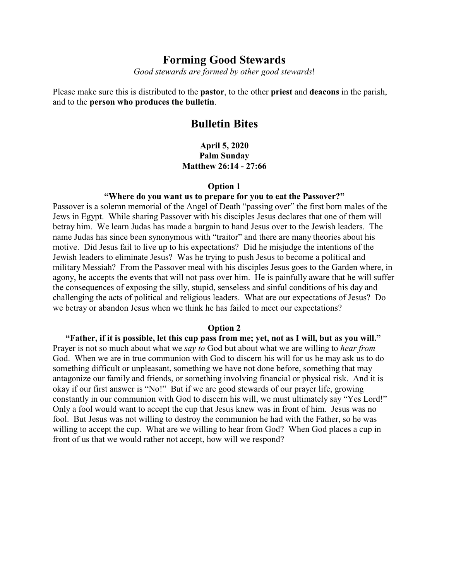# **Forming Good Stewards**

*Good stewards are formed by other good stewards*!

Please make sure this is distributed to the **pastor**, to the other **priest** and **deacons** in the parish, and to the **person who produces the bulletin**.

# **Bulletin Bites**

**April 5, 2020 Palm Sunday Matthew 26:14 - 27:66**

#### **Option 1**

#### **"Where do you want us to prepare for you to eat the Passover?"**

Passover is a solemn memorial of the Angel of Death "passing over" the first born males of the Jews in Egypt. While sharing Passover with his disciples Jesus declares that one of them will betray him. We learn Judas has made a bargain to hand Jesus over to the Jewish leaders. The name Judas has since been synonymous with "traitor" and there are many theories about his motive. Did Jesus fail to live up to his expectations? Did he misjudge the intentions of the Jewish leaders to eliminate Jesus? Was he trying to push Jesus to become a political and military Messiah? From the Passover meal with his disciples Jesus goes to the Garden where, in agony, he accepts the events that will not pass over him. He is painfully aware that he will suffer the consequences of exposing the silly, stupid, senseless and sinful conditions of his day and challenging the acts of political and religious leaders. What are our expectations of Jesus? Do we betray or abandon Jesus when we think he has failed to meet our expectations?

### **Option 2**

**"Father, if it is possible, let this cup pass from me; yet, not as I will, but as you will."** Prayer is not so much about what we *say to* God but about what we are willing to *hear from* God. When we are in true communion with God to discern his will for us he may ask us to do something difficult or unpleasant, something we have not done before, something that may antagonize our family and friends, or something involving financial or physical risk. And it is okay if our first answer is "No!" But if we are good stewards of our prayer life, growing constantly in our communion with God to discern his will, we must ultimately say "Yes Lord!" Only a fool would want to accept the cup that Jesus knew was in front of him. Jesus was no fool. But Jesus was not willing to destroy the communion he had with the Father, so he was willing to accept the cup. What are we willing to hear from God? When God places a cup in front of us that we would rather not accept, how will we respond?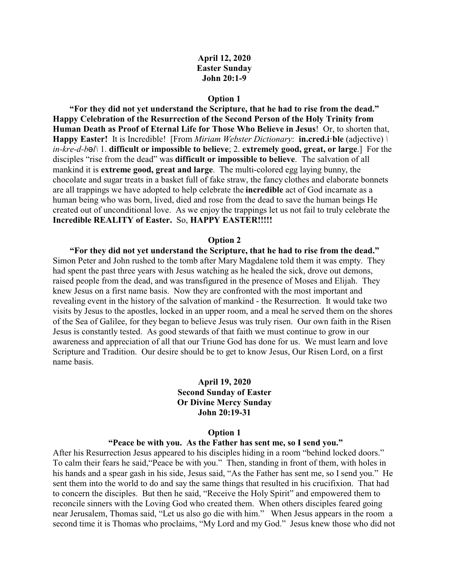## **April 12, 2020 Easter Sunday John 20:1-9**

#### **Option 1**

**"For they did not yet understand the Scripture, that he had to rise from the dead." Happy Celebration of the Resurrection of the Second Person of the Holy Trinity from Human Death as Proof of Eternal Life for Those Who Believe in Jesus**! Or, to shorten that, **Happy Easter!** It is Incredible! [From *Miriam Webster Dictionary*: **in.cred.i·ble** (adjective) *\ in-kre-d-bcl\* 1. **difficult or impossible to believe**; 2. **extremely good, great, or large**.] For the disciples "rise from the dead" was **difficult or impossible to believe**. The salvation of all mankind it is **extreme good, great and large**. The multi-colored egg laying bunny, the chocolate and sugar treats in a basket full of fake straw, the fancy clothes and elaborate bonnets are all trappings we have adopted to help celebrate the **incredible** act of God incarnate as a human being who was born, lived, died and rose from the dead to save the human beings He created out of unconditional love. As we enjoy the trappings let us not fail to truly celebrate the **Incredible REALITY of Easter.** So, **HAPPY EASTER!!!!!**

#### **Option 2**

**"For they did not yet understand the Scripture, that he had to rise from the dead."** Simon Peter and John rushed to the tomb after Mary Magdalene told them it was empty. They had spent the past three years with Jesus watching as he healed the sick, drove out demons, raised people from the dead, and was transfigured in the presence of Moses and Elijah. They knew Jesus on a first name basis. Now they are confronted with the most important and revealing event in the history of the salvation of mankind - the Resurrection. It would take two visits by Jesus to the apostles, locked in an upper room, and a meal he served them on the shores of the Sea of Galilee, for they began to believe Jesus was truly risen. Our own faith in the Risen Jesus is constantly tested. As good stewards of that faith we must continue to grow in our awareness and appreciation of all that our Triune God has done for us. We must learn and love Scripture and Tradition. Our desire should be to get to know Jesus, Our Risen Lord, on a first name basis.

### **April 19, 2020 Second Sunday of Easter Or Divine Mercy Sunday John 20:19-31**

#### **Option 1**

#### **"Peace be with you. As the Father has sent me, so I send you."**

After his Resurrection Jesus appeared to his disciples hiding in a room "behind locked doors." To calm their fears he said,"Peace be with you." Then, standing in front of them, with holes in his hands and a spear gash in his side, Jesus said, "As the Father has sent me, so I send you." He sent them into the world to do and say the same things that resulted in his crucifixion. That had to concern the disciples. But then he said, "Receive the Holy Spirit" and empowered them to reconcile sinners with the Loving God who created them. When others disciples feared going near Jerusalem, Thomas said, "Let us also go die with him." When Jesus appears in the room a second time it is Thomas who proclaims, "My Lord and my God." Jesus knew those who did not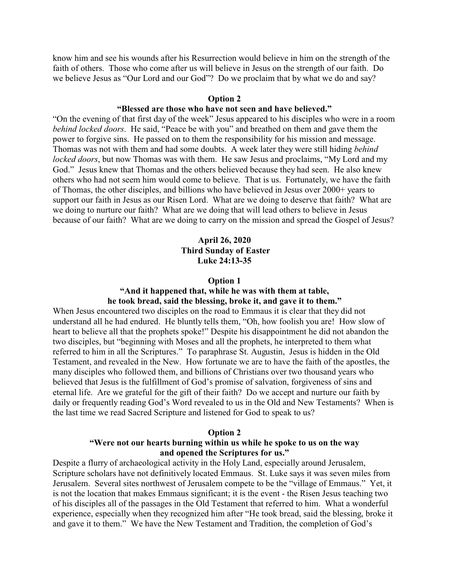know him and see his wounds after his Resurrection would believe in him on the strength of the faith of others. Those who come after us will believe in Jesus on the strength of our faith. Do we believe Jesus as "Our Lord and our God"? Do we proclaim that by what we do and say?

### **Option 2**

# **"Blessed are those who have not seen and have believed."**

"On the evening of that first day of the week" Jesus appeared to his disciples who were in a room *behind locked doors*. He said, "Peace be with you" and breathed on them and gave them the power to forgive sins. He passed on to them the responsibility for his mission and message. Thomas was not with them and had some doubts. A week later they were still hiding *behind locked doors*, but now Thomas was with them. He saw Jesus and proclaims, "My Lord and my God." Jesus knew that Thomas and the others believed because they had seen. He also knew others who had not seem him would come to believe. That is us. Fortunately, we have the faith of Thomas, the other disciples, and billions who have believed in Jesus over 2000+ years to support our faith in Jesus as our Risen Lord. What are we doing to deserve that faith? What are we doing to nurture our faith? What are we doing that will lead others to believe in Jesus because of our faith? What are we doing to carry on the mission and spread the Gospel of Jesus?

# **April 26, 2020 Third Sunday of Easter Luke 24:13-35**

#### **Option 1**

### **"And it happened that, while he was with them at table, he took bread, said the blessing, broke it, and gave it to them."**

When Jesus encountered two disciples on the road to Emmaus it is clear that they did not understand all he had endured. He bluntly tells them, "Oh, how foolish you are! How slow of heart to believe all that the prophets spoke!" Despite his disappointment he did not abandon the two disciples, but "beginning with Moses and all the prophets, he interpreted to them what referred to him in all the Scriptures." To paraphrase St. Augustin, Jesus is hidden in the Old Testament, and revealed in the New. How fortunate we are to have the faith of the apostles, the many disciples who followed them, and billions of Christians over two thousand years who believed that Jesus is the fulfillment of God's promise of salvation, forgiveness of sins and eternal life. Are we grateful for the gift of their faith? Do we accept and nurture our faith by daily or frequently reading God's Word revealed to us in the Old and New Testaments? When is the last time we read Sacred Scripture and listened for God to speak to us?

#### **Option 2**

## **"Were not our hearts burning within us while he spoke to us on the way and opened the Scriptures for us."**

Despite a flurry of archaeological activity in the Holy Land, especially around Jerusalem, Scripture scholars have not definitively located Emmaus. St. Luke says it was seven miles from Jerusalem. Several sites northwest of Jerusalem compete to be the "village of Emmaus." Yet, it is not the location that makes Emmaus significant; it is the event - the Risen Jesus teaching two of his disciples all of the passages in the Old Testament that referred to him. What a wonderful experience, especially when they recognized him after "He took bread, said the blessing, broke it and gave it to them." We have the New Testament and Tradition, the completion of God's